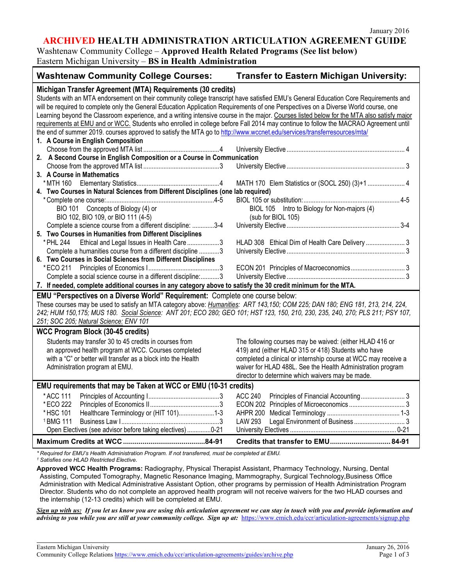**ARCHIVED HEALTH ADMINISTRATION ARTICULATION AGREEMENT GUIDE**

Washtenaw Community College – **Approved Health Related Programs (See list below)**

# Eastern Michigan University – **BS in Health Administration**

| Michigan Transfer Agreement (MTA) Requirements (30 credits)<br>Students with an MTA endorsement on their community college transcript have satisfied EMU's General Education Core Requirements and<br>will be required to complete only the General Education Application Requirements of one Perspectives on a Diverse World course, one<br>Learning beyond the Classroom experience, and a writing intensive course in the major. Courses listed below for the MTA also satisfy major<br>requirements at EMU and or WCC. Students who enrolled in college before Fall 2014 may continue to follow the MACRAO Agreement until<br>the end of summer 2019. courses approved to satisfy the MTA go to http://www.wccnet.edu/services/transferresources/mta/<br>1. A Course in English Composition<br>2. A Second Course in English Composition or a Course in Communication<br>3. A Course in Mathematics<br>MATH 170 Elem Statistics or (SOCL 250) (3)+1  4<br>4. Two Courses in Natural Sciences from Different Disciplines (one lab required)<br>BIO 101 Concepts of Biology (4) or<br>BIOL 105 Intro to Biology for Non-majors (4)<br>BIO 102, BIO 109, or BIO 111 (4-5)<br>(sub for BIOL 105)<br>Complete a science course from a different discipline: 3-4<br>5. Two Courses in Humanities from Different Disciplines<br>Ethical and Legal Issues in Health Care3<br>HLAD 308 Ethical Dim of Health Care Delivery  3<br>* PHL 244<br>Complete a humanities course from a different discipline 3<br>6. Two Courses in Social Sciences from Different Disciplines<br>* ECO 211<br>Complete a social science course in a different discipline:3<br>7. If needed, complete additional courses in any category above to satisfy the 30 credit minimum for the MTA.<br>EMU "Perspectives on a Diverse World" Requirement: Complete one course below:<br>These courses may be used to satisfy an MTA category above: Humanities: ART 143,150; COM 225; DAN 180; ENG 181, 213, 214, 224,<br>242; HUM 150,175; MUS 180. Social Science: ANT 201; ECO 280; GEO 101; HST 123, 150, 210, 230, 235, 240, 270; PLS 211; PSY 107,<br>251; SOC 205; Natural Science: ENV 101<br><b>WCC Program Block (30-45 credits)</b><br>Students may transfer 30 to 45 credits in courses from<br>The following courses may be waived: (either HLAD 416 or<br>419) and (either HLAD 315 or 418) Students who have<br>an approved health program at WCC. Courses completed<br>with a "C" or better will transfer as a block into the Health<br>completed a clinical or internship course at WCC may receive a<br>Administration program at EMU.<br>waiver for HLAD 488L. See the Health Administration program<br>director to determine which waivers may be made.<br>EMU requirements that may be Taken at WCC or EMU (10-31 credits)<br>*ACC 111<br><b>ACC 240</b><br>* ECO 222<br>Healthcare Terminology or (HIT 101)1-3<br>* HSC 101<br><sup>1</sup> BMG 111<br><b>LAW 293</b><br>Open Electives (see advisor before taking electives) 0-21<br>Credits that transfer to EMU 84-91 | <b>Washtenaw Community College Courses:</b> | <b>Transfer to Eastern Michigan University:</b> |  |  |  |
|--------------------------------------------------------------------------------------------------------------------------------------------------------------------------------------------------------------------------------------------------------------------------------------------------------------------------------------------------------------------------------------------------------------------------------------------------------------------------------------------------------------------------------------------------------------------------------------------------------------------------------------------------------------------------------------------------------------------------------------------------------------------------------------------------------------------------------------------------------------------------------------------------------------------------------------------------------------------------------------------------------------------------------------------------------------------------------------------------------------------------------------------------------------------------------------------------------------------------------------------------------------------------------------------------------------------------------------------------------------------------------------------------------------------------------------------------------------------------------------------------------------------------------------------------------------------------------------------------------------------------------------------------------------------------------------------------------------------------------------------------------------------------------------------------------------------------------------------------------------------------------------------------------------------------------------------------------------------------------------------------------------------------------------------------------------------------------------------------------------------------------------------------------------------------------------------------------------------------------------------------------------------------------------------------------------------------------------------------------------------------------------------------------------------------------------------------------------------------------------------------------------------------------------------------------------------------------------------------------------------------------------------------------------------------------------------------------------------------------------------------------------------------------------------------------------------------------------------------------------------------------------------------------------------------------------------------------------------------------------------------------------------------------------------------------------|---------------------------------------------|-------------------------------------------------|--|--|--|
|                                                                                                                                                                                                                                                                                                                                                                                                                                                                                                                                                                                                                                                                                                                                                                                                                                                                                                                                                                                                                                                                                                                                                                                                                                                                                                                                                                                                                                                                                                                                                                                                                                                                                                                                                                                                                                                                                                                                                                                                                                                                                                                                                                                                                                                                                                                                                                                                                                                                                                                                                                                                                                                                                                                                                                                                                                                                                                                                                                                                                                                              |                                             |                                                 |  |  |  |
|                                                                                                                                                                                                                                                                                                                                                                                                                                                                                                                                                                                                                                                                                                                                                                                                                                                                                                                                                                                                                                                                                                                                                                                                                                                                                                                                                                                                                                                                                                                                                                                                                                                                                                                                                                                                                                                                                                                                                                                                                                                                                                                                                                                                                                                                                                                                                                                                                                                                                                                                                                                                                                                                                                                                                                                                                                                                                                                                                                                                                                                              |                                             |                                                 |  |  |  |
|                                                                                                                                                                                                                                                                                                                                                                                                                                                                                                                                                                                                                                                                                                                                                                                                                                                                                                                                                                                                                                                                                                                                                                                                                                                                                                                                                                                                                                                                                                                                                                                                                                                                                                                                                                                                                                                                                                                                                                                                                                                                                                                                                                                                                                                                                                                                                                                                                                                                                                                                                                                                                                                                                                                                                                                                                                                                                                                                                                                                                                                              |                                             |                                                 |  |  |  |
|                                                                                                                                                                                                                                                                                                                                                                                                                                                                                                                                                                                                                                                                                                                                                                                                                                                                                                                                                                                                                                                                                                                                                                                                                                                                                                                                                                                                                                                                                                                                                                                                                                                                                                                                                                                                                                                                                                                                                                                                                                                                                                                                                                                                                                                                                                                                                                                                                                                                                                                                                                                                                                                                                                                                                                                                                                                                                                                                                                                                                                                              |                                             |                                                 |  |  |  |
|                                                                                                                                                                                                                                                                                                                                                                                                                                                                                                                                                                                                                                                                                                                                                                                                                                                                                                                                                                                                                                                                                                                                                                                                                                                                                                                                                                                                                                                                                                                                                                                                                                                                                                                                                                                                                                                                                                                                                                                                                                                                                                                                                                                                                                                                                                                                                                                                                                                                                                                                                                                                                                                                                                                                                                                                                                                                                                                                                                                                                                                              |                                             |                                                 |  |  |  |
|                                                                                                                                                                                                                                                                                                                                                                                                                                                                                                                                                                                                                                                                                                                                                                                                                                                                                                                                                                                                                                                                                                                                                                                                                                                                                                                                                                                                                                                                                                                                                                                                                                                                                                                                                                                                                                                                                                                                                                                                                                                                                                                                                                                                                                                                                                                                                                                                                                                                                                                                                                                                                                                                                                                                                                                                                                                                                                                                                                                                                                                              |                                             |                                                 |  |  |  |
|                                                                                                                                                                                                                                                                                                                                                                                                                                                                                                                                                                                                                                                                                                                                                                                                                                                                                                                                                                                                                                                                                                                                                                                                                                                                                                                                                                                                                                                                                                                                                                                                                                                                                                                                                                                                                                                                                                                                                                                                                                                                                                                                                                                                                                                                                                                                                                                                                                                                                                                                                                                                                                                                                                                                                                                                                                                                                                                                                                                                                                                              |                                             |                                                 |  |  |  |
|                                                                                                                                                                                                                                                                                                                                                                                                                                                                                                                                                                                                                                                                                                                                                                                                                                                                                                                                                                                                                                                                                                                                                                                                                                                                                                                                                                                                                                                                                                                                                                                                                                                                                                                                                                                                                                                                                                                                                                                                                                                                                                                                                                                                                                                                                                                                                                                                                                                                                                                                                                                                                                                                                                                                                                                                                                                                                                                                                                                                                                                              |                                             |                                                 |  |  |  |
|                                                                                                                                                                                                                                                                                                                                                                                                                                                                                                                                                                                                                                                                                                                                                                                                                                                                                                                                                                                                                                                                                                                                                                                                                                                                                                                                                                                                                                                                                                                                                                                                                                                                                                                                                                                                                                                                                                                                                                                                                                                                                                                                                                                                                                                                                                                                                                                                                                                                                                                                                                                                                                                                                                                                                                                                                                                                                                                                                                                                                                                              |                                             |                                                 |  |  |  |
|                                                                                                                                                                                                                                                                                                                                                                                                                                                                                                                                                                                                                                                                                                                                                                                                                                                                                                                                                                                                                                                                                                                                                                                                                                                                                                                                                                                                                                                                                                                                                                                                                                                                                                                                                                                                                                                                                                                                                                                                                                                                                                                                                                                                                                                                                                                                                                                                                                                                                                                                                                                                                                                                                                                                                                                                                                                                                                                                                                                                                                                              |                                             |                                                 |  |  |  |
|                                                                                                                                                                                                                                                                                                                                                                                                                                                                                                                                                                                                                                                                                                                                                                                                                                                                                                                                                                                                                                                                                                                                                                                                                                                                                                                                                                                                                                                                                                                                                                                                                                                                                                                                                                                                                                                                                                                                                                                                                                                                                                                                                                                                                                                                                                                                                                                                                                                                                                                                                                                                                                                                                                                                                                                                                                                                                                                                                                                                                                                              |                                             |                                                 |  |  |  |
|                                                                                                                                                                                                                                                                                                                                                                                                                                                                                                                                                                                                                                                                                                                                                                                                                                                                                                                                                                                                                                                                                                                                                                                                                                                                                                                                                                                                                                                                                                                                                                                                                                                                                                                                                                                                                                                                                                                                                                                                                                                                                                                                                                                                                                                                                                                                                                                                                                                                                                                                                                                                                                                                                                                                                                                                                                                                                                                                                                                                                                                              |                                             |                                                 |  |  |  |
|                                                                                                                                                                                                                                                                                                                                                                                                                                                                                                                                                                                                                                                                                                                                                                                                                                                                                                                                                                                                                                                                                                                                                                                                                                                                                                                                                                                                                                                                                                                                                                                                                                                                                                                                                                                                                                                                                                                                                                                                                                                                                                                                                                                                                                                                                                                                                                                                                                                                                                                                                                                                                                                                                                                                                                                                                                                                                                                                                                                                                                                              |                                             |                                                 |  |  |  |

*\* Required for EMU's Health Administration Program. If not transferred, must be completed at EMU. <sup>1</sup> Satisfies one HLAD Restricted Elective.*

**Approved WCC Health Programs:** Radiography, Physical Therapist Assistant, Pharmacy Technology, Nursing, Dental Assisting, Computed Tomography, Magnetic Resonance Imaging, Mammography, Surgical Technology,Business Office Administration with Medical Administrative Assistant Option, other programs by permission of Health Administration Program Director. Students who do not complete an approved health program will not receive waivers for the two HLAD courses and the internship (12-13 credits) which will be completed at EMU.

*Sign up with us: If you let us know you are using this articulation agreement we can stay in touch with you and provide information and advising to you while you are still at your community college. Sign up at:* <https://www.emich.edu/ccr/articulation-agreements/signup.php>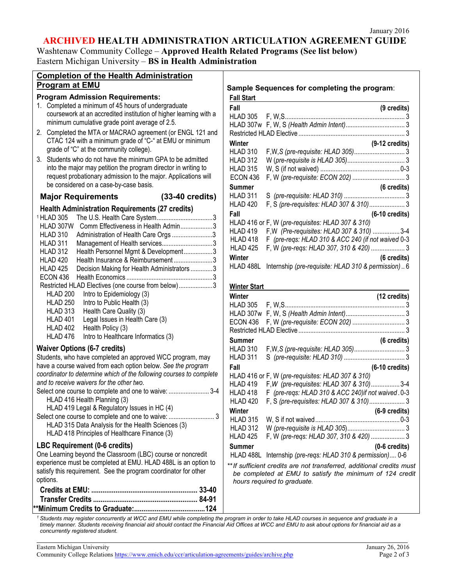# **ARCHIVED HEALTH ADMINISTRATION ARTICULATION AGREEMENT GUIDE**

Washtenaw Community College – **Approved Health Related Programs (See list below)** Eastern Michigan University – **BS in Health Administration**

| <b>Completion of the Health Administration</b>                                                                                                                                                                                                                                                                                                                                                                                                                                                                                                                                                                                                                                                                                                                              |                                                                                                                                                                                                                  |
|-----------------------------------------------------------------------------------------------------------------------------------------------------------------------------------------------------------------------------------------------------------------------------------------------------------------------------------------------------------------------------------------------------------------------------------------------------------------------------------------------------------------------------------------------------------------------------------------------------------------------------------------------------------------------------------------------------------------------------------------------------------------------------|------------------------------------------------------------------------------------------------------------------------------------------------------------------------------------------------------------------|
| <b>Program at EMU</b>                                                                                                                                                                                                                                                                                                                                                                                                                                                                                                                                                                                                                                                                                                                                                       | Sample Ser                                                                                                                                                                                                       |
| <b>Program Admission Requirements:</b>                                                                                                                                                                                                                                                                                                                                                                                                                                                                                                                                                                                                                                                                                                                                      | <b>Fall Start</b>                                                                                                                                                                                                |
| 1. Completed a minimum of 45 hours of undergraduate<br>coursework at an accredited institution of higher learning with a<br>minimum cumulative grade point average of 2.5.                                                                                                                                                                                                                                                                                                                                                                                                                                                                                                                                                                                                  | Fall<br>HLAD 305<br>HLAD 307w                                                                                                                                                                                    |
| Completed the MTA or MACRAO agreement (or ENGL 121 and<br>2.<br>CTAC 124 with a minimum grade of "C-" at EMU or minimum<br>grade of "C" at the community college).                                                                                                                                                                                                                                                                                                                                                                                                                                                                                                                                                                                                          | <b>Restricted HL</b><br>Winter<br>HLAD 310                                                                                                                                                                       |
| Students who do not have the minimum GPA to be admitted<br>3.<br>into the major may petition the program director in writing to<br>request probationary admission to the major. Applications will<br>be considered on a case-by-case basis.                                                                                                                                                                                                                                                                                                                                                                                                                                                                                                                                 | HLAD 312<br><b>HLAD 315</b><br><b>ECON 436</b><br><b>Summer</b>                                                                                                                                                  |
| $(33-40 \text{ credits})$<br><b>Major Requirements</b>                                                                                                                                                                                                                                                                                                                                                                                                                                                                                                                                                                                                                                                                                                                      | HLAD 311                                                                                                                                                                                                         |
| <b>Health Administration Requirements (27 credits)</b><br><sup>1</sup> HLAD 305<br>Comm Effectiveness in Health Admin3<br>HLAD 307W<br><b>HLAD 310</b><br>Administration of Health Care Orgs 3<br>HLAD 311<br>Management of Health services3<br>HLAD 312<br>Health Personnel Mgmt & Development3<br>HLAD 420<br>Health Insurance & Reimbursement3<br><b>HLAD 425</b><br>Decision Making for Health Administrators 3<br><b>ECON 436</b><br>Restricted HLAD Electives (one course from below)3<br>HLAD <sub>200</sub><br>Intro to Epidemiology (3)<br><b>HLAD 250</b><br>Intro to Public Health (3)<br>HLAD 313<br>Health Care Quality (3)<br>HLAD 401<br>Legal Issues in Health Care (3)<br>HLAD 402<br>Health Policy (3)<br>HLAD 476<br>Intro to Healthcare Informatics (3) | HLAD 420<br>Fall<br>HLAD 416 or<br>HLAD 419<br>HLAD 418<br>HLAD 425<br>Winter<br>HLAD 488L<br><b>Winter Start</b><br>Winter<br>HLAD 305<br>HLAD 307w<br><b>ECON 436</b><br><b>Restricted HL</b><br><b>Summer</b> |
| <b>Waiver Options (6-7 credits)</b><br>Students, who have completed an approved WCC program, may<br>have a course waived from each option below. See the program<br>coordinator to determine which of the following courses to complete<br>and to receive waivers for the other two.<br>Select one course to complete and one to waive: 3-4<br>HLAD 416 Health Planning (3)<br>HLAD 419 Legal & Regulatory Issues in HC (4)<br>HLAD 315 Data Analysis for the Health Sciences (3)<br>HLAD 418 Principles of Healthcare Finance (3)                                                                                                                                                                                                                                          | HLAD 310<br>HLAD 311<br>Fall<br>HLAD 416 or<br>HLAD 419<br>HLAD 418<br>HI AD 420<br>Winter<br><b>HLAD 315</b><br>HLAD 312<br>HLAD 425                                                                            |
| LBC Requirement (0-6 credits)<br>One Learning beyond the Classroom (LBC) course or noncredit<br>experience must be completed at EMU. HLAD 488L is an option to<br>satisfy this requirement. See the program coordinator for other<br>options.                                                                                                                                                                                                                                                                                                                                                                                                                                                                                                                               | <b>Summer</b><br>HLAD 488L<br>** If sufficient<br>be complet<br>hours requi                                                                                                                                      |
|                                                                                                                                                                                                                                                                                                                                                                                                                                                                                                                                                                                                                                                                                                                                                                             |                                                                                                                                                                                                                  |

# **Sample Sequences for completing the program**:

| Fall                | (9 credits)                                         |
|---------------------|-----------------------------------------------------|
|                     |                                                     |
|                     |                                                     |
|                     |                                                     |
| Winter              | $(9-12 \text{ credits})$                            |
| HLAD 310            |                                                     |
| HLAD 312            |                                                     |
| HLAD 315            |                                                     |
| <b>ECON 436</b>     |                                                     |
| Summer              | (6 credits)                                         |
| HLAD 311            |                                                     |
| HLAD 420            | F, S (pre-requisites: HLAD 307 & 310) 3             |
| Fall                | $(6-10 \text{ credits})$                            |
|                     | HLAD 416 or F, W (pre-requisites: HLAD 307 & 310)   |
| HLAD 419            | F, W (Pre-requisites: HLAD 307 & 310)  3-4          |
| HLAD 418            | F (pre-regs: HLAD 310 & ACC 240 (if not waived 0-3  |
| HLAD <sub>425</sub> | F, W (pre-regs: HLAD 307, 310 & 420)  3             |
| Winter              | (6 credits)                                         |
| HLAD 488L           | Internship (pre-requisite: HLAD 310 & permission) 6 |

| Winter          | (12 credits)                                                                                                                                                                                                                  |  |
|-----------------|-------------------------------------------------------------------------------------------------------------------------------------------------------------------------------------------------------------------------------|--|
|                 |                                                                                                                                                                                                                               |  |
|                 |                                                                                                                                                                                                                               |  |
| ECON 436        |                                                                                                                                                                                                                               |  |
|                 |                                                                                                                                                                                                                               |  |
| Summer          | (6 credits)                                                                                                                                                                                                                   |  |
| HLAD 310        |                                                                                                                                                                                                                               |  |
| HLAD 311        |                                                                                                                                                                                                                               |  |
| Fall            | $(6-10 \text{ credits})$                                                                                                                                                                                                      |  |
|                 | HLAD 416 or F, W (pre-requisites: HLAD 307 & 310)                                                                                                                                                                             |  |
| HLAD 419        | F, W (pre-requisites: HLAD 307 & 310)3-4                                                                                                                                                                                      |  |
| HLAD 418        | F (pre-regs: HLAD 310 & ACC 240) if not waived .0-3                                                                                                                                                                           |  |
| HLAD 420        | F, S (pre-requisites: HLAD 307 & 310) 3                                                                                                                                                                                       |  |
| Winter          | $(6-9 \text{ credits})$                                                                                                                                                                                                       |  |
| <b>HLAD 315</b> |                                                                                                                                                                                                                               |  |
| <b>HLAD 312</b> |                                                                                                                                                                                                                               |  |
| HLAD 425        | F, W (pre-regs: HLAD 307, 310 & 420)  3                                                                                                                                                                                       |  |
| Summer          | $(0-6 \text{ credits})$                                                                                                                                                                                                       |  |
| HLAD 488L       | Internship (pre-regs: HLAD 310 & permission) 0-6                                                                                                                                                                              |  |
|                 | where the contract of the contract of the contract of the contract of the contract of the contract of the contract of the contract of the contract of the contract of the contract of the contract of the contract of the con |  |

*\*\*If sufficient credits are not transferred, additional credits must be completed at EMU to satisfy the minimum of 124 credit <i>hed* to graduate.

*<sup>1</sup> Students may register concurrently at WCC and EMU while completing the program in order to take HLAD courses in sequence and graduate in a timely manner. Students receiving financial aid should contact the Financial Aid Offices at WCC and EMU to ask about options for financial aid as a concurrently registered student.*